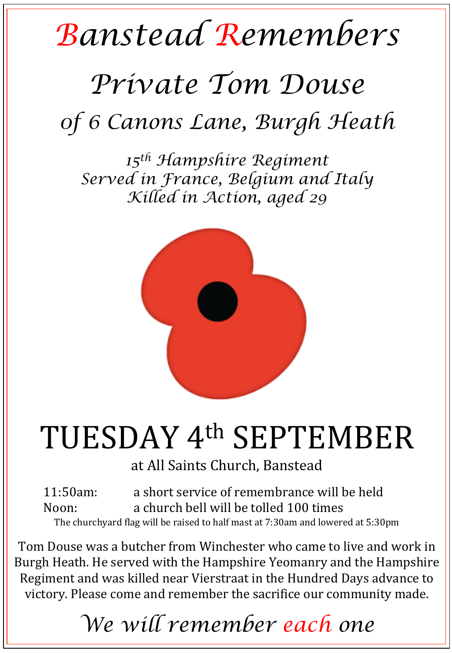## *Banstead Remembers*

## *Private Tom Douse 0f 6 Canons Lane, Burgh Heath*

*15th Hampshire Regiment Served in France, Belgium and Italy Killed in Action, aged 29* 



## TUESDAY 4<sup>th</sup> SEPTEMBER

at All Saints Church, Banstead

11:50am: a short service of remembrance will be held Noon: a church bell will be tolled 100 times The churchyard flag will be raised to half mast at 7:30am and lowered at 5:30pm

Tom Douse was a butcher from Winchester who came to live and work in Burgh Heath. He served with the Hampshire Yeomanry and the Hampshire Regiment and was killed near Vierstraat in the Hundred Days advance to victory. Please come and remember the sacrifice our community made.

*We will remember each one*